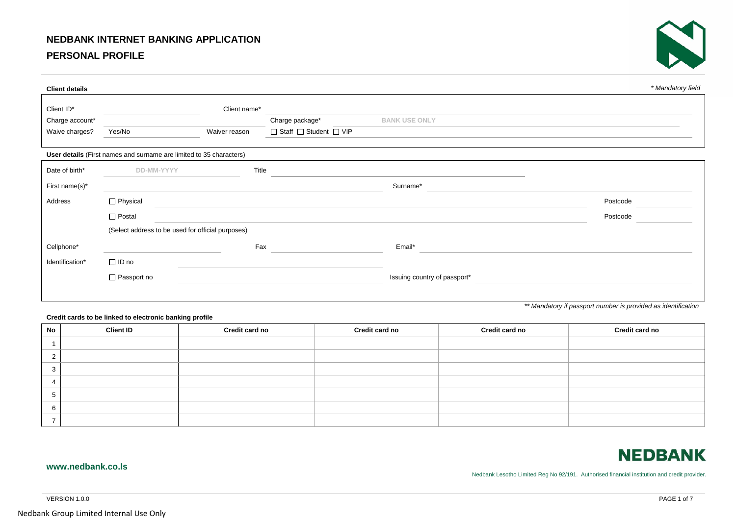## **NEDBANK INTERNET BANKING APPLICATION**

## **PERSONAL PROFILE**



| <b>Client details</b> |                                                                     |               |                         |                              | * Mandatory field |
|-----------------------|---------------------------------------------------------------------|---------------|-------------------------|------------------------------|-------------------|
| Client ID*            |                                                                     | Client name*  |                         |                              |                   |
| Charge account*       |                                                                     |               | Charge package*         | <b>BANK USE ONLY</b>         |                   |
| Waive charges?        | Yes/No                                                              | Waiver reason | □ Staff □ Student □ VIP |                              |                   |
|                       | User details (First names and surname are limited to 35 characters) |               |                         |                              |                   |
| Date of birth*        | DD-MM-YYYY                                                          | Title         |                         |                              |                   |
| First name(s)*        |                                                                     |               |                         | Surname*                     |                   |
| Address               | Physical                                                            |               |                         |                              | Postcode          |
|                       | $\Box$ Postal                                                       |               |                         |                              | Postcode          |
|                       | (Select address to be used for official purposes)                   |               |                         |                              |                   |
| Cellphone*            |                                                                     | Fax           |                         | Email*                       |                   |
| Identification*       | $\Box$ ID no                                                        |               |                         |                              |                   |
|                       | Passport no                                                         |               |                         | Issuing country of passport* |                   |
|                       |                                                                     |               |                         |                              |                   |

*\*\* Mandatory if passport number is provided as identification*

**Credit cards to be linked to electronic banking profile**

| <b>No</b> | <b>Client ID</b> | Credit card no | Credit card no | Credit card no | Credit card no |
|-----------|------------------|----------------|----------------|----------------|----------------|
|           |                  |                |                |                |                |
|           |                  |                |                |                |                |
|           |                  |                |                |                |                |
|           |                  |                |                |                |                |
|           |                  |                |                |                |                |
|           |                  |                |                |                |                |
|           |                  |                |                |                |                |

# **NEDBANK**

#### **www.nedbank.co.ls**

Nedbank Lesotho Limited Reg No 92/191. Authorised financial institution and credit provider.

VERSION 1.0.0 PAGE 1 of 7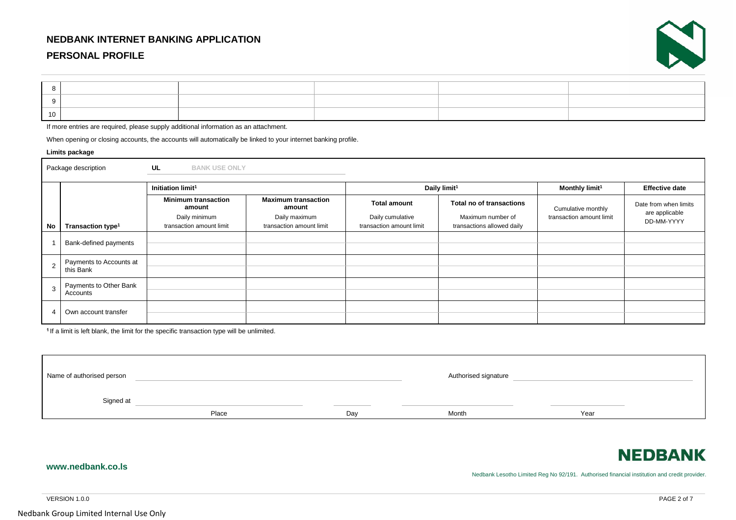## **NEDBANK INTERNET BANKING APPLICATION**

## **PERSONAL PROFILE**



| 10 |  |  |  |
|----|--|--|--|

If more entries are required, please supply additional information as an attachment.

When opening or closing accounts, the accounts will automatically be linked to your internet banking profile.

#### **Limits package**

|    | Package description                  | UL<br><b>BANK USE ONLY</b>                |                                           |                                              |                                                 |                          |                                         |  |
|----|--------------------------------------|-------------------------------------------|-------------------------------------------|----------------------------------------------|-------------------------------------------------|--------------------------|-----------------------------------------|--|
|    |                                      | Initiation limit <sup>1</sup>             |                                           |                                              | Daily limit <sup>1</sup>                        |                          | <b>Effective date</b>                   |  |
|    |                                      | <b>Minimum transaction</b><br>amount      | <b>Maximum transaction</b><br>amount      | <b>Total amount</b>                          | Total no of transactions                        | Cumulative monthly       | Date from when limits<br>are applicable |  |
| No | Transaction type <sup>1</sup>        | Daily minimum<br>transaction amount limit | Daily maximum<br>transaction amount limit | Daily cumulative<br>transaction amount limit | Maximum number of<br>transactions allowed daily | transaction amount limit | DD-MM-YYYY                              |  |
|    | Bank-defined payments                |                                           |                                           |                                              |                                                 |                          |                                         |  |
|    |                                      |                                           |                                           |                                              |                                                 |                          |                                         |  |
| 2  | Payments to Accounts at<br>this Bank |                                           |                                           |                                              |                                                 |                          |                                         |  |
| 3  | Payments to Other Bank<br>Accounts   |                                           |                                           |                                              |                                                 |                          |                                         |  |
|    | Own account transfer                 |                                           |                                           |                                              |                                                 |                          |                                         |  |

<sup>1</sup> If a limit is left blank, the limit for the specific transaction type will be unlimited.

| Name of authorised person |       |     | Authorised signature |      |  |
|---------------------------|-------|-----|----------------------|------|--|
| Signed at                 | Place | Day | Month                | Year |  |

# **NEDBANK**

#### Nedbank Lesotho Limited Reg No 92/191. Authorised financial institution and credit provider.

VERSION 1.0.0 PAGE 2 of 7

**www.nedbank.co.ls**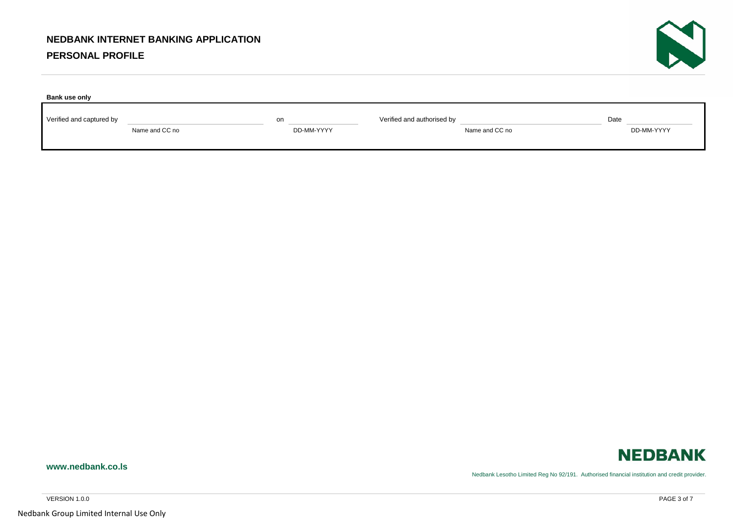## **PERSONAL PROFILE**

| Bank use only            |                |                  |                            |                |      |            |
|--------------------------|----------------|------------------|----------------------------|----------------|------|------------|
| Verified and captured by | Name and CC no | on<br>DD-MM-YYYY | Verified and authorised by | Name and CC no | Date | DD-MM-YYYY |



Nedbank Lesotho Limited Reg No 92/191. Authorised financial institution and credit provider.

Nedbank Group Limited Internal Use Only

**www.nedbank.co.ls**

N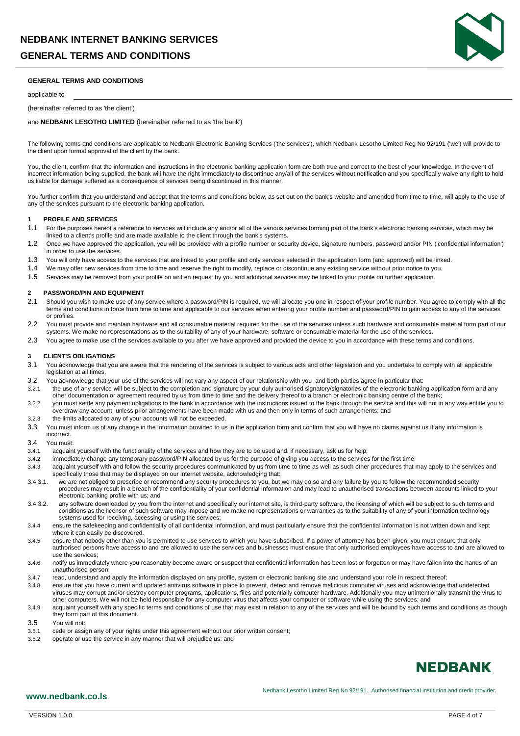

#### **GENERAL TERMS AND CONDITIONS**

#### applicable to

#### (hereinafter referred to as 'the client')

and **NEDBANK LESOTHO LIMITED** (hereinafter referred to as 'the bank')

The following terms and conditions are applicable to Nedbank Electronic Banking Services ('the services'), which Nedbank Lesotho Limited Reg No 92/191 ('we') will provide to the client upon formal approval of the client by the bank.

You, the client, confirm that the information and instructions in the electronic banking application form are both true and correct to the best of your knowledge. In the event of incorrect information being supplied, the bank will have the right immediately to discontinue any/all of the services without notification and you specifically waive any right to hold us liable for damage suffered as a consequence of services being discontinued in this manner.

You further confirm that you understand and accept that the terms and conditions below, as set out on the bank's website and amended from time to time, will apply to the use of any of the services pursuant to the electronic banking application.

#### **1 PROFILE AND SERVICES**

- 1.1 For the purposes hereof a reference to services will include any and/or all of the various services forming part of the bank's electronic banking services, which may be linked to a client's profile and are made available to the client through the bank's systems.
- 1.2 Once we have approved the application, you will be provided with a profile number or security device, signature numbers, password and/or PIN ('confidential information') in order to use the services.
- 1.3 You will only have access to the services that are linked to your profile and only services selected in the application form (and approved) will be linked.
- 1.4 We may offer new services from time to time and reserve the right to modify, replace or discontinue any existing service without prior notice to you.
- 1.5 Services may be removed from your profile on written request by you and additional services may be linked to your profile on further application.

#### **2 PASSWORD/PIN AND EQUIPMENT**

- 2.1 Should you wish to make use of any service where a password/PIN is required, we will allocate you one in respect of your profile number. You agree to comply with all the terms and conditions in force from time to time and applicable to our services when entering your profile number and password/PIN to gain access to any of the services or profiles.
- 2.2 You must provide and maintain hardware and all consumable material required for the use of the services unless such hardware and consumable material form part of our systems. We make no representations as to the suitability of any of your hardware, software or consumable material for the use of the services.
- 2.3 You agree to make use of the services available to you after we have approved and provided the device to you in accordance with these terms and conditions.

#### **3 CLIENT'S OBLIGATIONS**

- 3.1 You acknowledge that you are aware that the rendering of the services is subject to various acts and other legislation and you undertake to comply with all applicable legislation at all times.
- 3.2 You acknowledge that your use of the services will not vary any aspect of our relationship with you and both parties agree in particular that:<br>3.2.1 the use of any service will be subject to the completion and signatur
- the use of any service will be subject to the completion and signature by your duly authorised signatory/signatories of the electronic banking application form and any other documentation or agreement required by us from time to time and the delivery thereof to a branch or electronic banking centre of the bank;
- 3.2.2 you must settle any payment obligations to the bank in accordance with the instructions issued to the bank through the service and this will not in any way entitle you to overdraw any account, unless prior arrangements have been made with us and then only in terms of such arrangements; and
- 3.2.3 the limits allocated to any of your accounts will not be exceeded.
- 3.3 You must inform us of any change in the information provided to us in the application form and confirm that you will have no claims against us if any information is incorrect.

#### 3.4 You must:

- 3.4.1 acquaint yourself with the functionality of the services and how they are to be used and, if necessary, ask us for help;
- 3.4.2 immediately change any temporary password/PIN allocated by us for the purpose of giving you access to the services for the first time;
- 3.4.3 acquaint yourself with and follow the security procedures communicated by us from time to time as well as such other procedures that may apply to the services and specifically those that may be displayed on our internet website, acknowledging that:
- 3.4.3.1. we are not obliged to prescribe or recommend any security procedures to you, but we may do so and any failure by you to follow the recommended security procedures may result in a breach of the confidentiality of your confidential information and may lead to unauthorised transactions between accounts linked to your electronic banking profile with us; and
- 3.4.3.2. any software downloaded by you from the internet and specifically our internet site, is third-party software, the licensing of which will be subject to such terms and conditions as the licensor of such software may impose and we make no representations or warranties as to the suitability of any of your information technology systems used for receiving, accessing or using the services;
- 3.4.4 ensure the safekeeping and confidentiality of all confidential information, and must particularly ensure that the confidential information is not written down and kept where it can easily be discovered.
- 3.4.5 ensure that nobody other than you is permitted to use services to which you have subscribed. If a power of attorney has been given, you must ensure that only authorised persons have access to and are allowed to use the services and businesses must ensure that only authorised employees have access to and are allowed to use the services;
- 3.4.6 notify us immediately where you reasonably become aware or suspect that confidential information has been lost or forgotten or may have fallen into the hands of an unauthorised person;
- 3.4.7 read, understand and apply the information displayed on any profile, system or electronic banking site and understand your role in respect thereof;
- 3.4.8 ensure that you have current and updated antivirus software in place to prevent, detect and remove malicious computer viruses and acknowledge that undetected viruses may corrupt and/or destroy computer programs, applications, files and potentially computer hardware. Additionally you may unintentionally transmit the virus to other computers. We will not be held responsible for any computer virus that affects your computer or software while using the services; and
- 3.4.9 acquaint yourself with any specific terms and conditions of use that may exist in relation to any of the services and will be bound by such terms and conditions as though they form part of this document.
- 3.5 You will not<br>3.5.1 cede or ass
- cede or assign any of your rights under this agreement without our prior written consent;
- 3.5.2 operate or use the service in any manner that will prejudice us; and

# **NEDBANK**

## **www.nedbank.co.ls**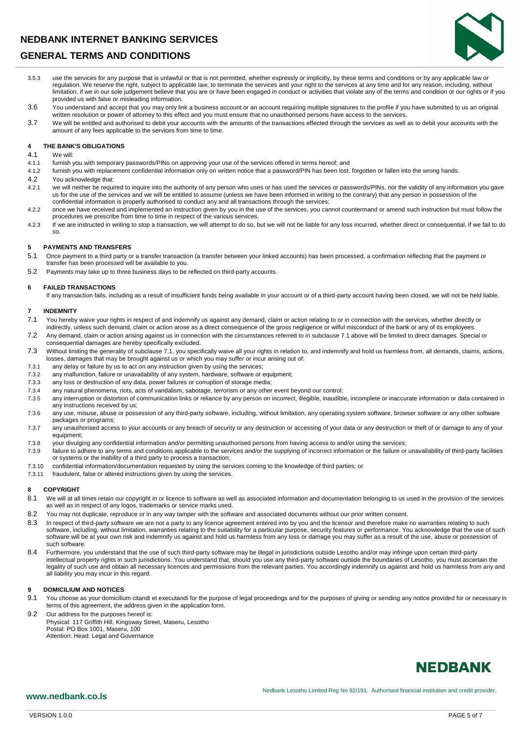

- 3.5.3 use the services for any purpose that is unlawful or that is not permitted, whether expressly or implicitly, by these terms and conditions or by any applicable law or regulation. We reserve the right, subject to applicable law, to terminate the services and your right to the services at any time and for any reason, including, without limitation, if we in our sole judgement believe that you are or have been engaged in conduct or activities that violate any of the terms and condition or our rights or if you provided us with false or misleading information.
- 3.6 You understand and accept that you may only link a business account or an account requiring multiple signatures to the profile if you have submitted to us an original written resolution or power of attorney to this effect and you must ensure that no unauthorised persons have access to the services.
- 3.7 We will be entitled and authorised to debit your accounts with the amounts of the transactions effected through the services as well as to debit your accounts with the amount of any fees applicable to the services from time to time.

#### **4 THE BANK'S OBLIGATIONS**

4.1 We will:

- 4.1.1 furnish you with temporary passwords/PINs on approving your use of the services offered in terms hereof; and
- 4.1.2 furnish you with replacement confidential information only on written notice that a password/PIN has been lost, forgotten or fallen into the wrong hands.
- 4.2 You acknowledge that:<br>4.2.1 we will neither be required
- we will neither be required to inquire into the authority of any person who uses or has used the services or passwords/PINs, nor the validity of any information you qave us for the use of the services and we will be entitled to assume (unless we have been informed in writing to the contrary) that any person in possession of the confidential information is properly authorised to conduct any and all transactions through the services;
- 4.2.2 once we have received and implemented an instruction given by you in the use of the services, you cannot countermand or amend such instruction but must follow the procedures we prescribe from time to time in respect of the various services.
- 4.2.3 If we are instructed in writing to stop a transaction, we will attempt to do so, but we will not be liable for any loss incurred, whether direct or consequential, if we fail to do so.

# **5 PAYMENTS AND TRANSFERS**

- Once payment to a third party or a transfer transaction (a transfer between your linked accounts) has been processed, a confirmation reflecting that the payment or transfer has been processed will be available to you.
- 5.2 Payments may take up to three business days to be reflected on third-party accounts.

#### **6 FAILED TRANSACTIONS**

If any transaction fails, including as a result of insufficient funds being available in your account or of a third-party account having been closed, we will not be held liable.

#### **7 INDEMNITY**

- 7.1 You hereby waive your rights in respect of and indemnify us against any demand, claim or action relating to or in connection with the services, whether directly or indirectly, unless such demand, claim or action arose as a direct consequence of the gross negligence or wilful misconduct of the bank or any of its employees.
- 7.2 Any demand, claim or action arising against us in connection with the circumstances referred to in subclause 7.1 above will be limited to direct damages. Special or consequential damages are hereby specifically excluded.
- 7.3 Without limiting the generality of subclause 7.1, you specifically waive all your rights in relation to, and indemnify and hold us harmless from, all demands, claims, actions, losses, damages that may be brought against us or which you may suffer or incur arising out of:
- 7.3.1 any delay or failure by us to act on any instruction given by using the services;
- 7.3.2 any malfunction, failure or unavailability of any system, hardware, software or equipment;
- 7.3.3 any loss or destruction of any data, power failures or corruption of storage media;
- 7.3.4 any natural phenomena, riots, acts of vandalism, sabotage, terrorism or any other event beyond our control;
- 7.3.5 any interruption or distortion of communication links or reliance by any person on incorrect, illegible, inaudible, incomplete or inaccurate information or data contained in any instructions received by us;
- 7.3.6 any use, misuse, abuse or possession of any third-party software, including, without limitation, any operating system software, browser software or any other software packages or programs;
- 7.3.7 any unauthorised access to your accounts or any breach of security or any destruction or accessing of your data or any destruction or theft of or damage to any of your equipment;
- 7.3.8 your divulging any confidential information and/or permitting unauthorised persons from having access to and/or using the services;
- 7.3.9 failure to adhere to any terms and conditions applicable to the services and/or the supplying of incorrect information or the failure or unavailability of third-party facilities or systems or the inability of a third party to process a transaction;
- 7.3.10 confidential information/documentation requested by using the services coming to the knowledge of third parties; or<br>7.3.11 fraudulent. false or altered instructions given by using the services.
- fraudulent, false or altered instructions given by using the services.

#### **8 COPYRIGHT**

- 8.1 We will at all times retain our copyright in or licence to software as well as associated information and documentation belonging to us used in the provision of the services as well as in respect of any logos, trademarks or service marks used.
- 8.2 You may not duplicate, reproduce or in any way tamper with the software and associated documents without our prior written consent.
- 8.3 In respect of third-party software we are not a party to any licence agreement entered into by you and the licensor and therefore make no warranties relating to such software, including, without limitation, warranties relating to the suitability for a particular purpose, security features or performance. You acknowledge that the use of such software will be at your own risk and indemnify us against and hold us harmless from any loss or damage you may suffer as a result of the use, abuse or possession of such software.
- 8.4 Furthermore, you understand that the use of such third-party software may be illegal in jurisdictions outside Lesotho and/or may infringe upon certain third-party intellectual property rights in such jurisdictions. You understand that, should you use any third-party software outside the boundaries of Lesotho, you must ascertain the legality of such use and obtain all necessary licences and permissions from the relevant parties. You accordingly indemnify us against and hold us harmless from any and all liability you may incur in this regard.

#### **9 DOMICILIUM AND NOTICES**

- 9.1 You choose as your domicilium citandi et executandi for the purpose of legal proceedings and for the purposes of giving or sending any notice provided for or necessary in terms of this agreement, the address given in the application form.
- 9.2 Our address for the purposes hereof is: Physical: 117 Griffith Hill, Kingsway Street, Maseru, Lesotho Postal: PO Box 1001, Maseru, 100 Attention: Head: Legal and Governance

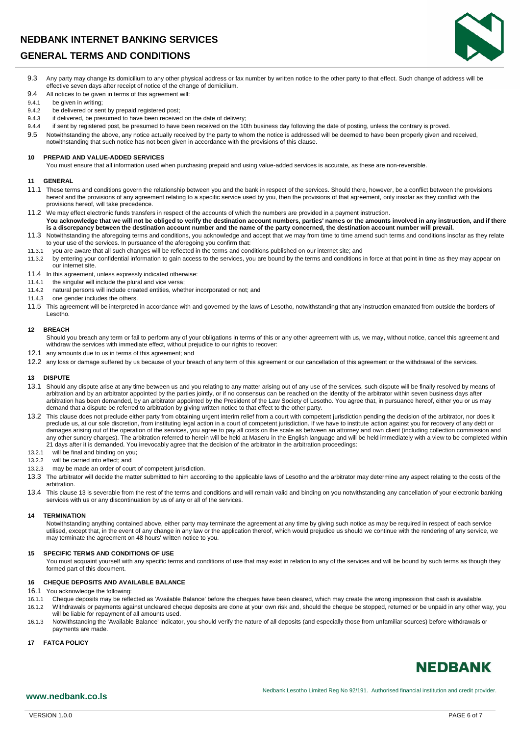

- 9.3 Any party may change its domicilium to any other physical address or fax number by written notice to the other party to that effect. Such change of address will be effective seven days after receipt of notice of the change of domicilium.
- 9.4 All notices to be given in terms of this agreement will:<br>9.4.1 be given in writing:

## 9.4.1 be given in writing;<br>9.4.2 be delivered or ser

- be delivered or sent by prepaid registered post;
- 9.4.3 if delivered, be presumed to have been received on the date of delivery;
- 9.4.4 if sent by registered post, be presumed to have been received on the 10th business day following the date of posting, unless the contrary is proved.
- 9.5 Notwithstanding the above, any notice actually received by the party to whom the notice is addressed will be deemed to have been properly given and received, notwithstanding that such notice has not been given in accordance with the provisions of this clause.

#### **10 PREPAID AND VALUE-ADDED SERVICES**

You must ensure that all information used when purchasing prepaid and using value-added services is accurate, as these are non-reversible.

#### **11 GENERAL**

- 11.1 These terms and conditions govern the relationship between you and the bank in respect of the services. Should there, however, be a conflict between the provisions hereof and the provisions of any agreement relating to a specific service used by you, then the provisions of that agreement, only insofar as they conflict with the provisions hereof, will take precedence.
- 11.2 We may effect electronic funds transfers in respect of the accounts of which the numbers are provided in a payment instruction. **You acknowledge that we will not be obliged to verify the destination account numbers, parties' names or the amounts involved in any instruction, and if there is a discrepancy between the destination account number and the name of the party concerned, the destination account number will prevail.**
- 11.3 Notwithstanding the aforegoing terms and conditions, you acknowledge and accept that we may from time to time amend such terms and conditions insofar as they relate to your use of the services. In pursuance of the aforegoing you confirm that:
- 11.3.1 you are aware that all such changes will be reflected in the terms and conditions published on our internet site; and
- 11.3.2 by entering your confidential information to gain access to the services, you are bound by the terms and conditions in force at that point in time as they may appear on our internet site.
- 11.4 In this agreement, unless expressly indicated otherwise:<br>11.4.1 the singular will include the plural and vice versa:
- 
- 11.4.1 the singular will include the plural and vice versa;<br>11.4.2 natural persons will include created entities. whet natural persons will include created entities, whether incorporated or not; and
- 11.4.3 one gender includes the others.
- 11.5 This agreement will be interpreted in accordance with and governed by the laws of Lesotho, notwithstanding that any instruction emanated from outside the borders of Lesotho.

#### **12 BREACH**

Should you breach any term or fail to perform any of your obligations in terms of this or any other agreement with us, we may, without notice, cancel this agreement and withdraw the services with immediate effect, without prejudice to our rights to recover:

- 12.1 any amounts due to us in terms of this agreement; and
- 12.2 any loss or damage suffered by us because of your breach of any term of this agreement or our cancellation of this agreement or the withdrawal of the services.

#### **13 DISPUTE**

- 13.1 Should any dispute arise at any time between us and you relating to any matter arising out of any use of the services, such dispute will be finally resolved by means of arbitration and by an arbitrator appointed by the parties jointly, or if no consensus can be reached on the identity of the arbitrator within seven business days after arbitration has been demanded, by an arbitrator appointed by the President of the Law Society of Lesotho. You agree that, in pursuance hereof, either you or us may demand that a dispute be referred to arbitration by giving written notice to that effect to the other party.
- 13.2 This clause does not preclude either party from obtaining urgent interim relief from a court with competent jurisdiction pending the decision of the arbitrator, nor does it preclude us, at our sole discretion, from instituting legal action in a court of competent jurisdiction. If we have to institute action against you for recovery of any debt or damages arising out of the operation of the services, you agree to pay all costs on the scale as between an attorney and own client (including collection commission and any other sundry charges). The arbitration referred to herein will be held at Maseru in the English language and will be held immediately with a view to be completed within 21 days after it is demanded. You irrevocably agree that the decision of the arbitrator in the arbitration proceedings:
- 13.2.1 will be final and binding on you;
- 13.2.2 will be carried into effect; and
- 13.2.3 may be made an order of court of competent jurisdiction.
- 13.3 The arbitrator will decide the matter submitted to him according to the applicable laws of Lesotho and the arbitrator may determine any aspect relating to the costs of the arbitration.
- 13.4 This clause 13 is severable from the rest of the terms and conditions and will remain valid and binding on you notwithstanding any cancellation of your electronic banking services with us or any discontinuation by us of any or all of the services.

#### **14 TERMINATION**

Notwithstanding anything contained above, either party may terminate the agreement at any time by giving such notice as may be required in respect of each service utilised, except that, in the event of any change in any law or the application thereof, which would prejudice us should we continue with the rendering of any service, we may terminate the agreement on 48 hours' written notice to you.

#### **15 SPECIFIC TERMS AND CONDITIONS OF USE**

You must acquaint yourself with any specific terms and conditions of use that may exist in relation to any of the services and will be bound by such terms as though they formed part of this document.

#### **16 CHEQUE DEPOSITS AND AVAILABLE BALANCE**

## 16.1 You acknowledge the following:<br>16.1.1 Cheque deposits may be refle

- 16.1.1 Cheque deposits may be reflected as 'Available Balance' before the cheques have been cleared, which may create the wrong impression that cash is available.
- 16.1.2 Withdrawals or payments against uncleared cheque deposits are done at your own risk and, should the cheque be stopped, returned or be unpaid in any other way, you will be liable for repayment of all amounts used.
- 16.1.3 Notwithstanding the 'Available Balance' indicator, you should verify the nature of all deposits (and especially those from unfamiliar sources) before withdrawals or payments are made.

#### **17 FATCA POLICY**

# **NEDBANK**